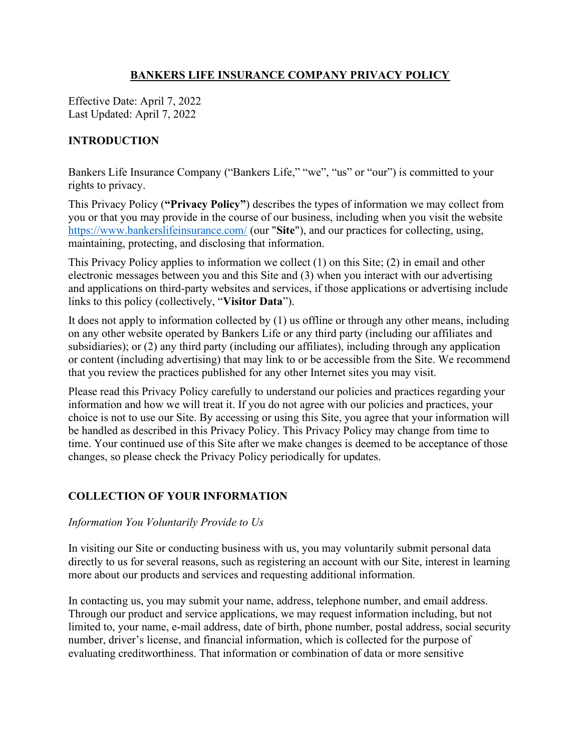## BANKERS LIFE INSURANCE COMPANY PRIVACY POLICY

Effective Date: April 7, 2022 Last Updated: April 7, 2022

# INTRODUCTION

Bankers Life Insurance Company ("Bankers Life," "we", "us" or "our") is committed to your rights to privacy.

This Privacy Policy ("Privacy Policy") describes the types of information we may collect from you or that you may provide in the course of our business, including when you visit the website https://www.bankerslifeinsurance.com/ (our "Site"), and our practices for collecting, using, maintaining, protecting, and disclosing that information.

This Privacy Policy applies to information we collect (1) on this Site; (2) in email and other electronic messages between you and this Site and (3) when you interact with our advertising and applications on third-party websites and services, if those applications or advertising include links to this policy (collectively, "Visitor Data").

It does not apply to information collected by (1) us offline or through any other means, including on any other website operated by Bankers Life or any third party (including our affiliates and subsidiaries); or (2) any third party (including our affiliates), including through any application or content (including advertising) that may link to or be accessible from the Site. We recommend that you review the practices published for any other Internet sites you may visit.

Please read this Privacy Policy carefully to understand our policies and practices regarding your information and how we will treat it. If you do not agree with our policies and practices, your choice is not to use our Site. By accessing or using this Site, you agree that your information will be handled as described in this Privacy Policy. This Privacy Policy may change from time to time. Your continued use of this Site after we make changes is deemed to be acceptance of those changes, so please check the Privacy Policy periodically for updates.

# COLLECTION OF YOUR INFORMATION

#### Information You Voluntarily Provide to Us

In visiting our Site or conducting business with us, you may voluntarily submit personal data directly to us for several reasons, such as registering an account with our Site, interest in learning more about our products and services and requesting additional information.

In contacting us, you may submit your name, address, telephone number, and email address. Through our product and service applications, we may request information including, but not limited to, your name, e-mail address, date of birth, phone number, postal address, social security number, driver's license, and financial information, which is collected for the purpose of evaluating creditworthiness. That information or combination of data or more sensitive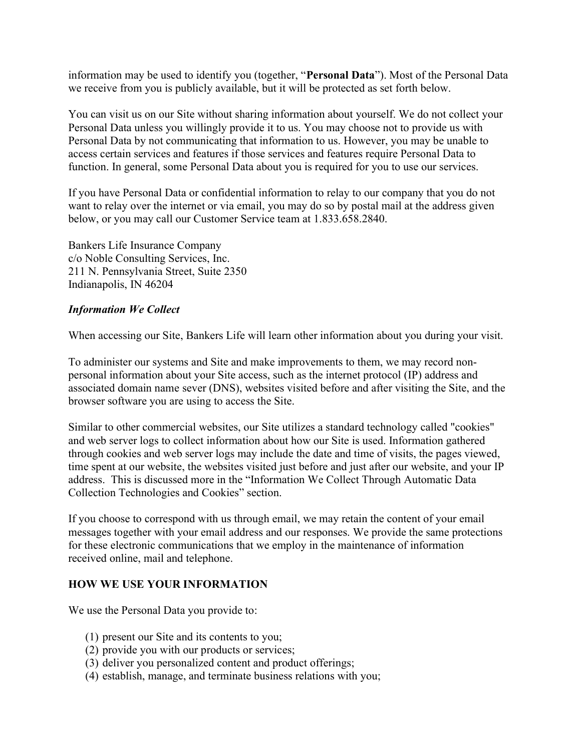information may be used to identify you (together, "Personal Data"). Most of the Personal Data we receive from you is publicly available, but it will be protected as set forth below.

You can visit us on our Site without sharing information about yourself. We do not collect your Personal Data unless you willingly provide it to us. You may choose not to provide us with Personal Data by not communicating that information to us. However, you may be unable to access certain services and features if those services and features require Personal Data to function. In general, some Personal Data about you is required for you to use our services.

If you have Personal Data or confidential information to relay to our company that you do not want to relay over the internet or via email, you may do so by postal mail at the address given below, or you may call our Customer Service team at 1.833.658.2840.

Bankers Life Insurance Company c/o Noble Consulting Services, Inc. 211 N. Pennsylvania Street, Suite 2350 Indianapolis, IN 46204

#### Information We Collect

When accessing our Site, Bankers Life will learn other information about you during your visit.

To administer our systems and Site and make improvements to them, we may record nonpersonal information about your Site access, such as the internet protocol (IP) address and associated domain name sever (DNS), websites visited before and after visiting the Site, and the browser software you are using to access the Site.

Similar to other commercial websites, our Site utilizes a standard technology called "cookies" and web server logs to collect information about how our Site is used. Information gathered through cookies and web server logs may include the date and time of visits, the pages viewed, time spent at our website, the websites visited just before and just after our website, and your IP address. This is discussed more in the "Information We Collect Through Automatic Data Collection Technologies and Cookies" section.

If you choose to correspond with us through email, we may retain the content of your email messages together with your email address and our responses. We provide the same protections for these electronic communications that we employ in the maintenance of information received online, mail and telephone.

### HOW WE USE YOUR INFORMATION

We use the Personal Data you provide to:

- (1) present our Site and its contents to you;
- (2) provide you with our products or services;
- (3) deliver you personalized content and product offerings;
- (4) establish, manage, and terminate business relations with you;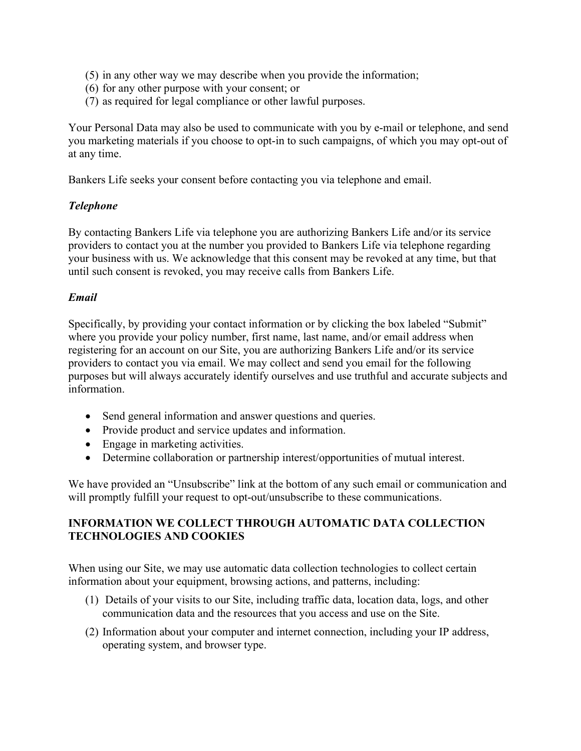- (5) in any other way we may describe when you provide the information;
- (6) for any other purpose with your consent; or
- (7) as required for legal compliance or other lawful purposes.

Your Personal Data may also be used to communicate with you by e-mail or telephone, and send you marketing materials if you choose to opt-in to such campaigns, of which you may opt-out of at any time.

Bankers Life seeks your consent before contacting you via telephone and email.

#### Telephone

By contacting Bankers Life via telephone you are authorizing Bankers Life and/or its service providers to contact you at the number you provided to Bankers Life via telephone regarding your business with us. We acknowledge that this consent may be revoked at any time, but that until such consent is revoked, you may receive calls from Bankers Life.

#### Email

Specifically, by providing your contact information or by clicking the box labeled "Submit" where you provide your policy number, first name, last name, and/or email address when registering for an account on our Site, you are authorizing Bankers Life and/or its service providers to contact you via email. We may collect and send you email for the following purposes but will always accurately identify ourselves and use truthful and accurate subjects and information.

- Send general information and answer questions and queries.
- Provide product and service updates and information.
- Engage in marketing activities.
- Determine collaboration or partnership interest/opportunities of mutual interest.

We have provided an "Unsubscribe" link at the bottom of any such email or communication and will promptly fulfill your request to opt-out/unsubscribe to these communications.

### INFORMATION WE COLLECT THROUGH AUTOMATIC DATA COLLECTION TECHNOLOGIES AND COOKIES

When using our Site, we may use automatic data collection technologies to collect certain information about your equipment, browsing actions, and patterns, including:

- (1) Details of your visits to our Site, including traffic data, location data, logs, and other communication data and the resources that you access and use on the Site.
- (2) Information about your computer and internet connection, including your IP address, operating system, and browser type.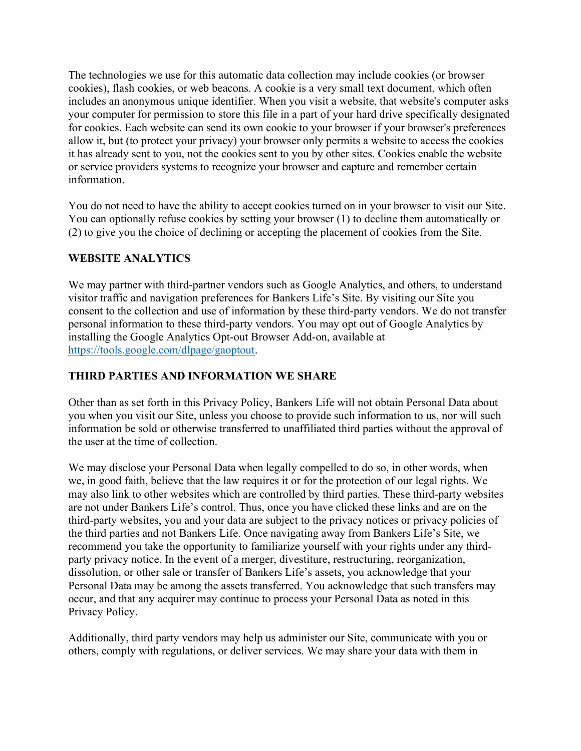The technologies we use for this automatic data collection may include cookies (or browser cookies), flash cookies, or web beacons. A cookie is a very small text document, which often includes an anonymous unique identifier. When you visit a website, that website's computer asks your computer for permission to store this file in a part of your hard drive specifically designated for cookies. Each website can send its own cookie to your browser if your browser's preferences allow it, but (to protect your privacy) your browser only permits a website to access the cookies it has already sent to you, not the cookies sent to you by other sites. Cookies enable the website or service providers systems to recognize your browser and capture and remember certain information.

You do not need to have the ability to accept cookies turned on in your browser to visit our Site. You can optionally refuse cookies by setting your browser (1) to decline them automatically or (2) to give you the choice of declining or accepting the placement of cookies from the Site.

# WEBSITE ANALYTICS

We may partner with third-partner vendors such as Google Analytics, and others, to understand visitor traffic and navigation preferences for Bankers Life's Site. By visiting our Site you consent to the collection and use of information by these third-party vendors. We do not transfer personal information to these third-party vendors. You may opt out of Google Analytics by installing the Google Analytics Opt-out Browser Add-on, available at https://tools.google.com/dlpage/gaoptout.

# THIRD PARTIES AND INFORMATION WE SHARE

Other than as set forth in this Privacy Policy, Bankers Life will not obtain Personal Data about you when you visit our Site, unless you choose to provide such information to us, nor will such information be sold or otherwise transferred to unaffiliated third parties without the approval of the user at the time of collection.

We may disclose your Personal Data when legally compelled to do so, in other words, when we, in good faith, believe that the law requires it or for the protection of our legal rights. We may also link to other websites which are controlled by third parties. These third-party websites are not under Bankers Life's control. Thus, once you have clicked these links and are on the third-party websites, you and your data are subject to the privacy notices or privacy policies of the third parties and not Bankers Life. Once navigating away from Bankers Life's Site, we recommend you take the opportunity to familiarize yourself with your rights under any thirdparty privacy notice. In the event of a merger, divestiture, restructuring, reorganization, dissolution, or other sale or transfer of Bankers Life's assets, you acknowledge that your Personal Data may be among the assets transferred. You acknowledge that such transfers may occur, and that any acquirer may continue to process your Personal Data as noted in this Privacy Policy.

Additionally, third party vendors may help us administer our Site, communicate with you or others, comply with regulations, or deliver services. We may share your data with them in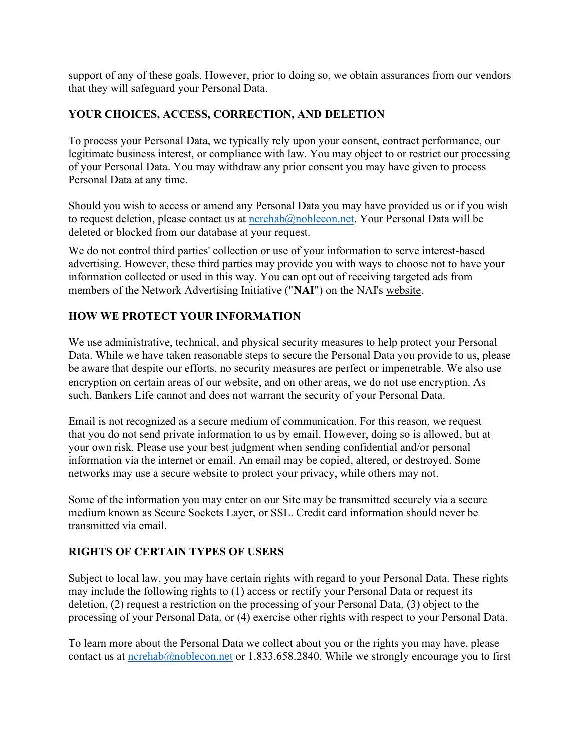support of any of these goals. However, prior to doing so, we obtain assurances from our vendors that they will safeguard your Personal Data.

## YOUR CHOICES, ACCESS, CORRECTION, AND DELETION

To process your Personal Data, we typically rely upon your consent, contract performance, our legitimate business interest, or compliance with law. You may object to or restrict our processing of your Personal Data. You may withdraw any prior consent you may have given to process Personal Data at any time.

Should you wish to access or amend any Personal Data you may have provided us or if you wish to request deletion, please contact us at  $n$ crehab@noblecon.net. Your Personal Data will be deleted or blocked from our database at your request.

We do not control third parties' collection or use of your information to serve interest-based advertising. However, these third parties may provide you with ways to choose not to have your information collected or used in this way. You can opt out of receiving targeted ads from members of the Network Advertising Initiative ("NAI") on the NAI's website.

# HOW WE PROTECT YOUR INFORMATION

We use administrative, technical, and physical security measures to help protect your Personal Data. While we have taken reasonable steps to secure the Personal Data you provide to us, please be aware that despite our efforts, no security measures are perfect or impenetrable. We also use encryption on certain areas of our website, and on other areas, we do not use encryption. As such, Bankers Life cannot and does not warrant the security of your Personal Data.

Email is not recognized as a secure medium of communication. For this reason, we request that you do not send private information to us by email. However, doing so is allowed, but at your own risk. Please use your best judgment when sending confidential and/or personal information via the internet or email. An email may be copied, altered, or destroyed. Some networks may use a secure website to protect your privacy, while others may not.

Some of the information you may enter on our Site may be transmitted securely via a secure medium known as Secure Sockets Layer, or SSL. Credit card information should never be transmitted via email.

### RIGHTS OF CERTAIN TYPES OF USERS

Subject to local law, you may have certain rights with regard to your Personal Data. These rights may include the following rights to (1) access or rectify your Personal Data or request its deletion, (2) request a restriction on the processing of your Personal Data, (3) object to the processing of your Personal Data, or (4) exercise other rights with respect to your Personal Data.

To learn more about the Personal Data we collect about you or the rights you may have, please contact us at ncrehab@noblecon.net or 1.833.658.2840. While we strongly encourage you to first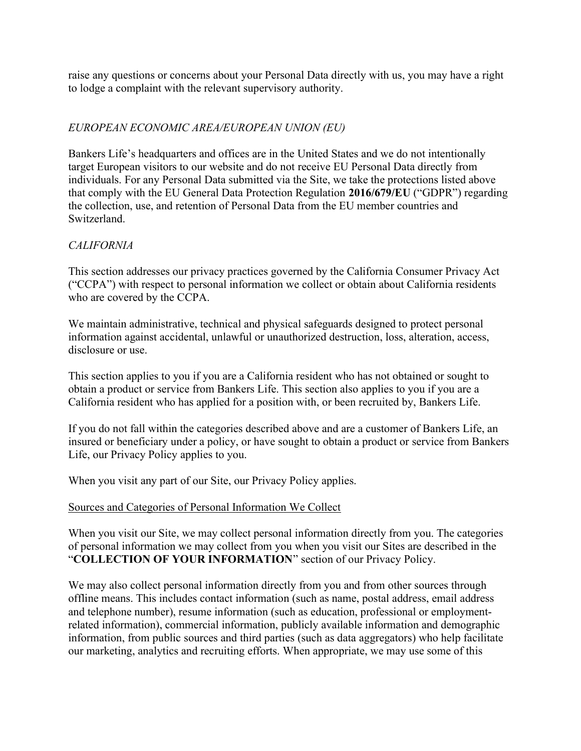raise any questions or concerns about your Personal Data directly with us, you may have a right to lodge a complaint with the relevant supervisory authority.

## EUROPEAN ECONOMIC AREA/EUROPEAN UNION (EU)

Bankers Life's headquarters and offices are in the United States and we do not intentionally target European visitors to our website and do not receive EU Personal Data directly from individuals. For any Personal Data submitted via the Site, we take the protections listed above that comply with the EU General Data Protection Regulation 2016/679/EU ("GDPR") regarding the collection, use, and retention of Personal Data from the EU member countries and Switzerland.

# CALIFORNIA

This section addresses our privacy practices governed by the California Consumer Privacy Act ("CCPA") with respect to personal information we collect or obtain about California residents who are covered by the CCPA.

We maintain administrative, technical and physical safeguards designed to protect personal information against accidental, unlawful or unauthorized destruction, loss, alteration, access, disclosure or use.

This section applies to you if you are a California resident who has not obtained or sought to obtain a product or service from Bankers Life. This section also applies to you if you are a California resident who has applied for a position with, or been recruited by, Bankers Life.

If you do not fall within the categories described above and are a customer of Bankers Life, an insured or beneficiary under a policy, or have sought to obtain a product or service from Bankers Life, our Privacy Policy applies to you.

When you visit any part of our Site, our Privacy Policy applies.

### Sources and Categories of Personal Information We Collect

When you visit our Site, we may collect personal information directly from you. The categories of personal information we may collect from you when you visit our Sites are described in the "COLLECTION OF YOUR INFORMATION" section of our Privacy Policy.

We may also collect personal information directly from you and from other sources through offline means. This includes contact information (such as name, postal address, email address and telephone number), resume information (such as education, professional or employmentrelated information), commercial information, publicly available information and demographic information, from public sources and third parties (such as data aggregators) who help facilitate our marketing, analytics and recruiting efforts. When appropriate, we may use some of this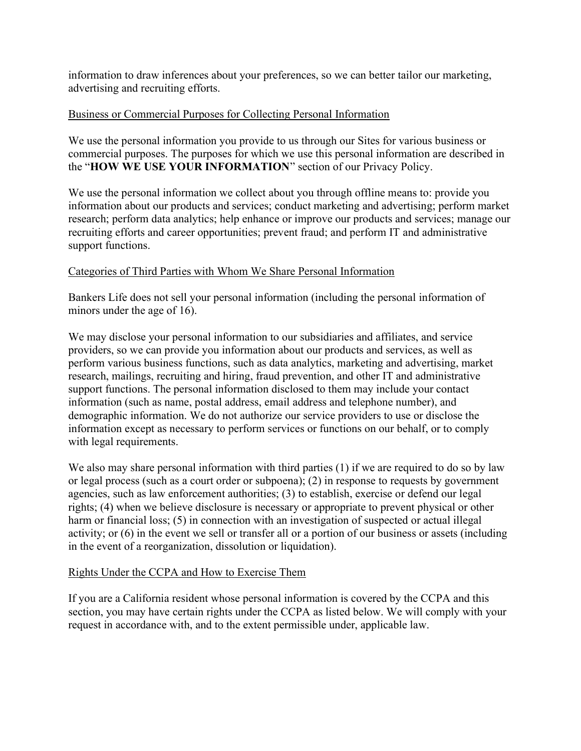information to draw inferences about your preferences, so we can better tailor our marketing, advertising and recruiting efforts.

#### Business or Commercial Purposes for Collecting Personal Information

We use the personal information you provide to us through our Sites for various business or commercial purposes. The purposes for which we use this personal information are described in the "HOW WE USE YOUR INFORMATION" section of our Privacy Policy.

We use the personal information we collect about you through offline means to: provide you information about our products and services; conduct marketing and advertising; perform market research; perform data analytics; help enhance or improve our products and services; manage our recruiting efforts and career opportunities; prevent fraud; and perform IT and administrative support functions.

#### Categories of Third Parties with Whom We Share Personal Information

Bankers Life does not sell your personal information (including the personal information of minors under the age of 16).

We may disclose your personal information to our subsidiaries and affiliates, and service providers, so we can provide you information about our products and services, as well as perform various business functions, such as data analytics, marketing and advertising, market research, mailings, recruiting and hiring, fraud prevention, and other IT and administrative support functions. The personal information disclosed to them may include your contact information (such as name, postal address, email address and telephone number), and demographic information. We do not authorize our service providers to use or disclose the information except as necessary to perform services or functions on our behalf, or to comply with legal requirements.

We also may share personal information with third parties (1) if we are required to do so by law or legal process (such as a court order or subpoena); (2) in response to requests by government agencies, such as law enforcement authorities; (3) to establish, exercise or defend our legal rights; (4) when we believe disclosure is necessary or appropriate to prevent physical or other harm or financial loss; (5) in connection with an investigation of suspected or actual illegal activity; or (6) in the event we sell or transfer all or a portion of our business or assets (including in the event of a reorganization, dissolution or liquidation).

#### Rights Under the CCPA and How to Exercise Them

If you are a California resident whose personal information is covered by the CCPA and this section, you may have certain rights under the CCPA as listed below. We will comply with your request in accordance with, and to the extent permissible under, applicable law.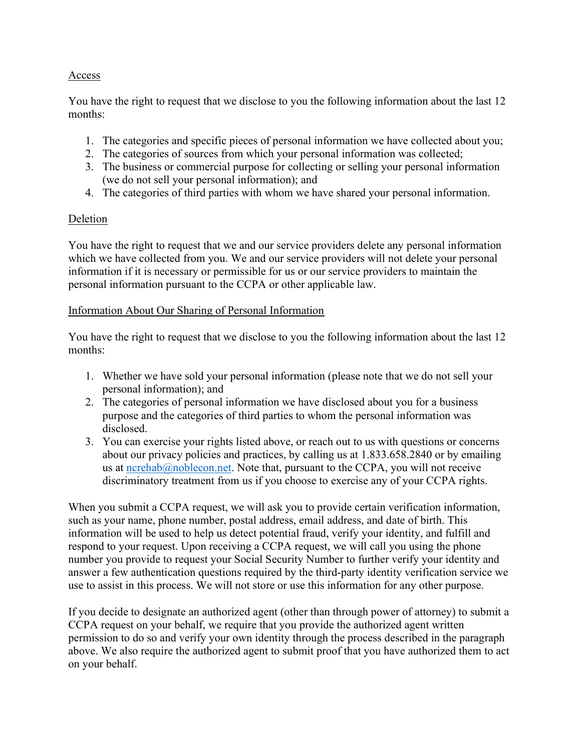### Access

You have the right to request that we disclose to you the following information about the last 12 months:

- 1. The categories and specific pieces of personal information we have collected about you;
- 2. The categories of sources from which your personal information was collected;
- 3. The business or commercial purpose for collecting or selling your personal information (we do not sell your personal information); and
- 4. The categories of third parties with whom we have shared your personal information.

# Deletion

You have the right to request that we and our service providers delete any personal information which we have collected from you. We and our service providers will not delete your personal information if it is necessary or permissible for us or our service providers to maintain the personal information pursuant to the CCPA or other applicable law.

### Information About Our Sharing of Personal Information

You have the right to request that we disclose to you the following information about the last 12 months:

- 1. Whether we have sold your personal information (please note that we do not sell your personal information); and
- 2. The categories of personal information we have disclosed about you for a business purpose and the categories of third parties to whom the personal information was disclosed.
- 3. You can exercise your rights listed above, or reach out to us with questions or concerns about our privacy policies and practices, by calling us at 1.833.658.2840 or by emailing us at ncrehab@noblecon.net. Note that, pursuant to the CCPA, you will not receive discriminatory treatment from us if you choose to exercise any of your CCPA rights.

When you submit a CCPA request, we will ask you to provide certain verification information, such as your name, phone number, postal address, email address, and date of birth. This information will be used to help us detect potential fraud, verify your identity, and fulfill and respond to your request. Upon receiving a CCPA request, we will call you using the phone number you provide to request your Social Security Number to further verify your identity and answer a few authentication questions required by the third-party identity verification service we use to assist in this process. We will not store or use this information for any other purpose.

If you decide to designate an authorized agent (other than through power of attorney) to submit a CCPA request on your behalf, we require that you provide the authorized agent written permission to do so and verify your own identity through the process described in the paragraph above. We also require the authorized agent to submit proof that you have authorized them to act on your behalf.